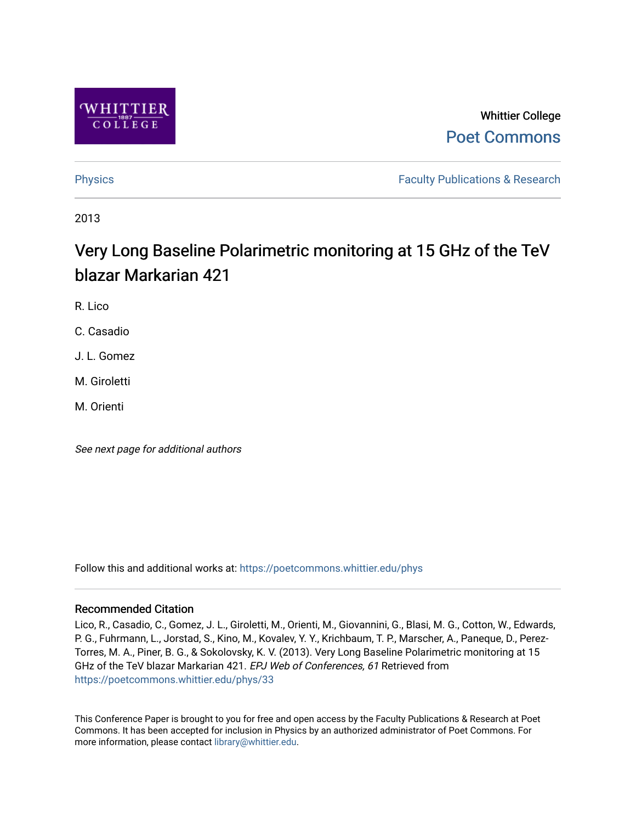

# Whittier College [Poet Commons](https://poetcommons.whittier.edu/)

[Physics](https://poetcommons.whittier.edu/phys) **Faculty Publications & Research Physics Faculty Publications & Research** 

2013

# Very Long Baseline Polarimetric monitoring at 15 GHz of the TeV blazar Markarian 421

R. Lico

C. Casadio

J. L. Gomez

M. Giroletti

M. Orienti

See next page for additional authors

Follow this and additional works at: [https://poetcommons.whittier.edu/phys](https://poetcommons.whittier.edu/phys?utm_source=poetcommons.whittier.edu%2Fphys%2F33&utm_medium=PDF&utm_campaign=PDFCoverPages)

# Recommended Citation

Lico, R., Casadio, C., Gomez, J. L., Giroletti, M., Orienti, M., Giovannini, G., Blasi, M. G., Cotton, W., Edwards, P. G., Fuhrmann, L., Jorstad, S., Kino, M., Kovalev, Y. Y., Krichbaum, T. P., Marscher, A., Paneque, D., Perez-Torres, M. A., Piner, B. G., & Sokolovsky, K. V. (2013). Very Long Baseline Polarimetric monitoring at 15 GHz of the TeV blazar Markarian 421. EPJ Web of Conferences, 61 Retrieved from [https://poetcommons.whittier.edu/phys/33](https://poetcommons.whittier.edu/phys/33?utm_source=poetcommons.whittier.edu%2Fphys%2F33&utm_medium=PDF&utm_campaign=PDFCoverPages) 

This Conference Paper is brought to you for free and open access by the Faculty Publications & Research at Poet Commons. It has been accepted for inclusion in Physics by an authorized administrator of Poet Commons. For more information, please contact [library@whittier.edu.](mailto:library@whittier.edu)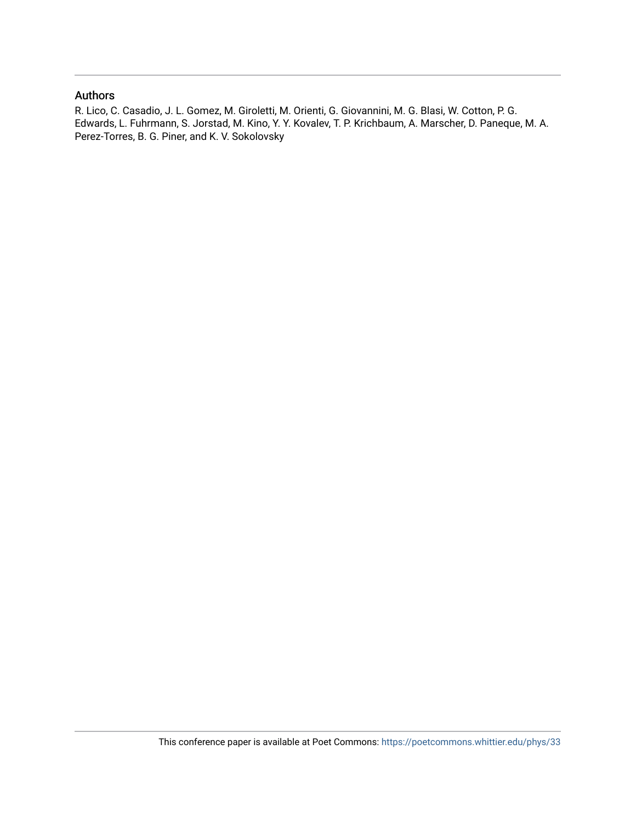### Authors

R. Lico, C. Casadio, J. L. Gomez, M. Giroletti, M. Orienti, G. Giovannini, M. G. Blasi, W. Cotton, P. G. Edwards, L. Fuhrmann, S. Jorstad, M. Kino, Y. Y. Kovalev, T. P. Krichbaum, A. Marscher, D. Paneque, M. A. Perez-Torres, B. G. Piner, and K. V. Sokolovsky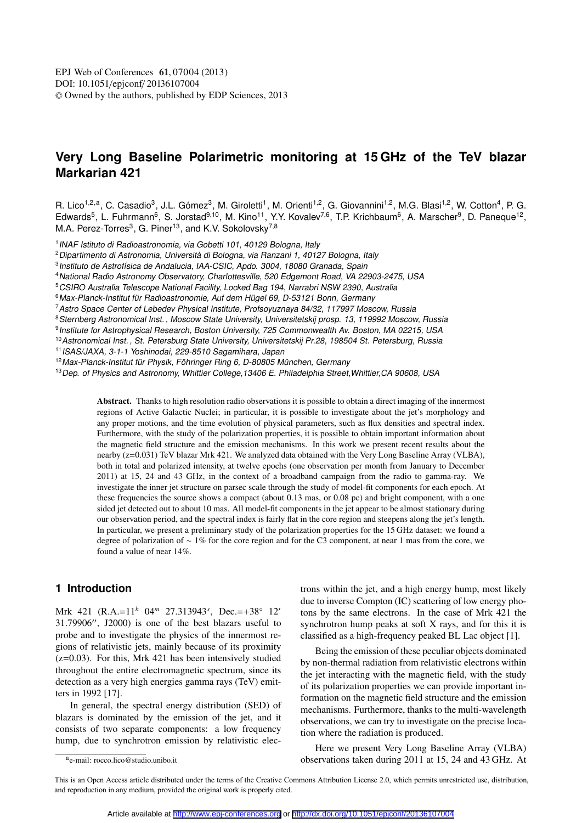# **Very Long Baseline Polarimetric monitoring at 15 GHz of the TeV blazar Markarian 421**

R. Lico<sup>1,2,a</sup>, C. Casadio<sup>3</sup>, J.L. Gómez<sup>3</sup>, M. Giroletti<sup>1</sup>, M. Orienti<sup>1,2</sup>, G. Giovannini<sup>1,2</sup>, M.G. Blasi<sup>1,2</sup>, W. Cotton<sup>4</sup>, P. G. Edwards<sup>5</sup>, L. Fuhrmann<sup>6</sup>, S. Jorstad<sup>9,10</sup>, M. Kino<sup>11</sup>, Y.Y. Kovalev<sup>7,6</sup>, T.P. Krichbaum<sup>6</sup>, A. Marscher<sup>9</sup>, D. Paneque<sup>12</sup>, M.A. Perez-Torres<sup>3</sup>, G. Piner<sup>13</sup>, and K.V. Sokolovsky<sup>7,8</sup>

<sup>1</sup> INAF Istituto di Radioastronomia, via Gobetti 101, 40129 Bologna, Italy

<sup>2</sup>Dipartimento di Astronomia, Università di Bologna, via Ranzani 1, <sup>40127</sup> Bologna, Italy

3 Instituto de Astrofísica de Andalucia, IAA-CSIC, Apdo. 3004, 18080 Granada, Spain

<sup>4</sup>National Radio Astronomy Observatory, Charlottesville, <sup>520</sup> Edgemont Road, VA 22903-2475, USA

<sup>5</sup>CSIRO Australia Telescope National Facility, Locked Bag 194, Narrabri NSW 2390, Australia

<sup>6</sup> Max-Planck-Institut für Radioastronomie, Auf dem Hügel 69, D-53121 Bonn, Germany

<sup>7</sup>Astro Space Center of Lebedev Physical Institute, Profsoyuznaya 84/32, <sup>117997</sup> Moscow, Russia

8 Sternberg Astronomical Inst., Moscow State University, Universitetskij prosp. 13, 119992 Moscow, Russia

<sup>9</sup> Institute for Astrophysical Research, Boston University, 725 Commonwealth Av. Boston, MA 02215, USA

<sup>10</sup> Astronomical Inst., St. Petersburg State University, Universitetskij Pr.28, 198504 St. Petersburg, Russia

<sup>11</sup>ISAS/JAXA, 3-1-1 Yoshinodai, 229-8510 Sagamihara, Japan

<sup>12</sup>Max-Planck-Institut für Physik, Föhringer Ring 6, D-80805 München, Germany

<sup>13</sup> Dep. of Physics and Astronomy, Whittier College, 13406 E. Philadelphia Street, Whittier, CA 90608, USA

Abstract. Thanks to high resolution radio observations it is possible to obtain a direct imaging of the innermost regions of Active Galactic Nuclei; in particular, it is possible to investigate about the jet's morphology and any proper motions, and the time evolution of physical parameters, such as flux densities and spectral index. Furthermore, with the study of the polarization properties, it is possible to obtain important information about the magnetic field structure and the emission mechanisms. In this work we present recent results about the nearby (z=0.031) TeV blazar Mrk 421. We analyzed data obtained with the Very Long Baseline Array (VLBA), both in total and polarized intensity, at twelve epochs (one observation per month from January to December 2011) at 15, 24 and 43 GHz, in the context of a broadband campaign from the radio to gamma-ray. We investigate the inner jet structure on parsec scale through the study of model-fit components for each epoch. At these frequencies the source shows a compact (about 0.13 mas, or 0.08 pc) and bright component, with a one sided jet detected out to about 10 mas. All model-fit components in the jet appear to be almost stationary during our observation period, and the spectral index is fairly flat in the core region and steepens along the jet's length. In particular, we present a preliminary study of the polarization properties for the 15 GHz dataset: we found a degree of polarization of ∼ 1% for the core region and for the C3 component, at near 1 mas from the core, we found a value of near 14%.

# **1 Introduction**

Mrk 421 (R.A.=11*<sup>h</sup>* 04*<sup>m</sup>* 27.313943*<sup>s</sup>* , Dec.=+38◦ 12′ 31.79906′′, J2000) is one of the best blazars useful to probe and to investigate the physics of the innermost regions of relativistic jets, mainly because of its proximity  $(z=0.03)$ . For this, Mrk 421 has been intensively studied throughout the entire electromagnetic spectrum, since its detection as a very high energies gamma rays (TeV) emitters in 1992 [17].

In general, the spectral energy distribution (SED) of blazars is dominated by the emission of the jet, and it consists of two separate components: a low frequency hump, due to synchrotron emission by relativistic electrons within the jet, and a high energy hump, most likely due to inverse Compton (IC) scattering of low energy photons by the same electrons. In the case of Mrk 421 the synchrotron hump peaks at soft X rays, and for this it is classified as a high-frequency peaked BL Lac object [1].

Being the emission of these peculiar objects dominated by non-thermal radiation from relativistic electrons within the jet interacting with the magnetic field, with the study of its polarization properties we can provide important information on the magnetic field structure and the emission mechanisms. Furthermore, thanks to the multi-wavelength observations, we can try to investigate on the precise location where the radiation is produced.

Here we present Very Long Baseline Array (VLBA) observations taken during 2011 at 15, 24 and 43 GHz. At

This is an Open Access article distributed under the terms of the Creative Commons Attribution License 2.0, which permits unrestricted use, distribution, and reproduction in any medium, provided the original work is properly cited.

a e-mail: rocco.lico@studio.unibo.it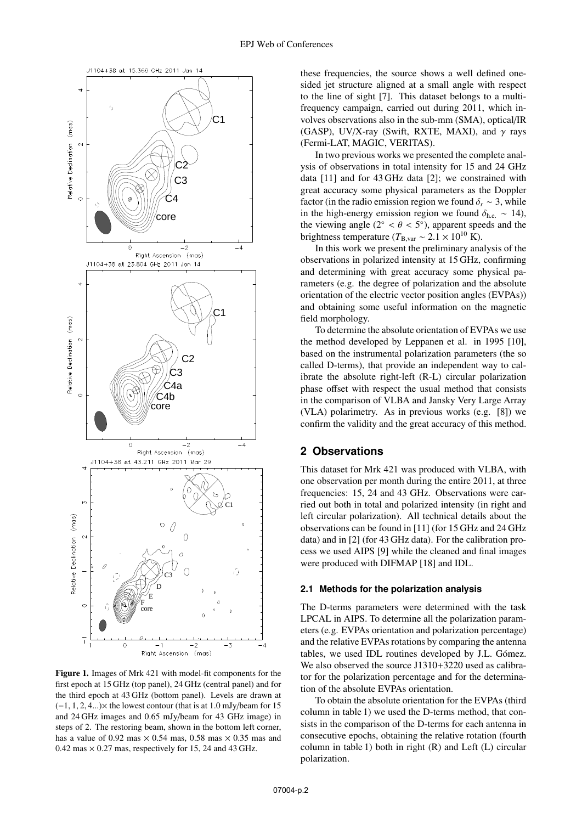

Figure 1. Images of Mrk 421 with model-fit components for the first epoch at 15 GHz (top panel), 24 GHz (central panel) and for the third epoch at 43 GHz (bottom panel). Levels are drawn at  $(-1, 1, 2, 4...)$  the lowest contour (that is at 1.0 mJy/beam for 15 and 24 GHz images and 0.65 mJy/beam for 43 GHz image) in steps of 2. The restoring beam, shown in the bottom left corner, has a value of 0.92 mas  $\times$  0.54 mas, 0.58 mas  $\times$  0.35 mas and  $0.42$  mas  $\times$  0.27 mas, respectively for 15, 24 and 43 GHz.

these frequencies, the source shows a well defined onesided jet structure aligned at a small angle with respect to the line of sight [7]. This dataset belongs to a multifrequency campaign, carried out during 2011, which involves observations also in the sub-mm (SMA), optical/IR (GASP), UV/X-ray (Swift, RXTE, MAXI), and  $\gamma$  rays (Fermi-LAT, MAGIC, VERITAS).

In two previous works we presented the complete analysis of observations in total intensity for 15 and 24 GHz data [11] and for 43 GHz data [2]; we constrained with great accuracy some physical parameters as the Doppler factor (in the radio emission region we found  $\delta_r \sim 3$ , while in the high-energy emission region we found  $\delta_{he} \sim 14$ ), the viewing angle ( $2^\circ < \theta < 5^\circ$ ), apparent speeds and the brightness temperature ( $T_{\text{B, var}} \sim 2.1 \times 10^{10} \text{ K}$ ).

In this work we present the preliminary analysis of the observations in polarized intensity at 15 GHz, confirming and determining with great accuracy some physical parameters (e.g. the degree of polarization and the absolute orientation of the electric vector position angles (EVPAs)) and obtaining some useful information on the magnetic field morphology.

To determine the absolute orientation of EVPAs we use the method developed by Leppanen et al. in 1995 [10], based on the instrumental polarization parameters (the so called D-terms), that provide an independent way to calibrate the absolute right-left (R-L) circular polarization phase offset with respect the usual method that consists in the comparison of VLBA and Jansky Very Large Array (VLA) polarimetry. As in previous works (e.g. [8]) we confirm the validity and the great accuracy of this method.

# **2 Observations**

This dataset for Mrk 421 was produced with VLBA, with one observation per month during the entire 2011, at three frequencies: 15, 24 and 43 GHz. Observations were carried out both in total and polarized intensity (in right and left circular polarization). All technical details about the observations can be found in [11] (for 15 GHz and 24 GHz data) and in [2] (for 43 GHz data). For the calibration process we used AIPS [9] while the cleaned and final images were produced with DIFMAP [18] and IDL.

#### **2.1 Methods for the polarization analysis**

The D-terms parameters were determined with the task LPCAL in AIPS. To determine all the polarization parameters (e.g. EVPAs orientation and polarization percentage) and the relative EVPAs rotations by comparing the antenna tables, we used IDL routines developed by J.L. Gómez. We also observed the source J1310+3220 used as calibrator for the polarization percentage and for the determination of the absolute EVPAs orientation.

To obtain the absolute orientation for the EVPAs (third column in table 1) we used the D-terms method, that consists in the comparison of the D-terms for each antenna in consecutive epochs, obtaining the relative rotation (fourth column in table 1) both in right (R) and Left (L) circular polarization.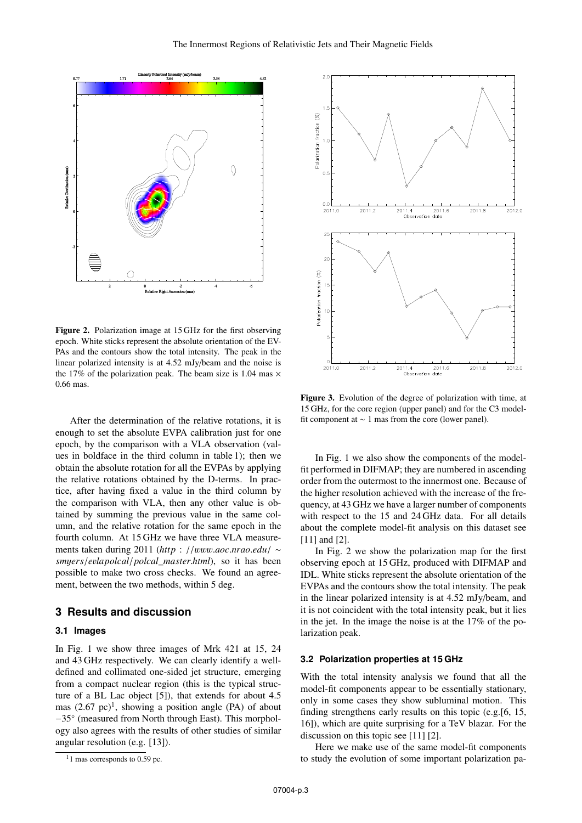

Figure 2. Polarization image at 15 GHz for the first observing epoch. White sticks represent the absolute orientation of the EV-PAs and the contours show the total intensity. The peak in the linear polarized intensity is at 4.52 mJy/beam and the noise is the 17% of the polarization peak. The beam size is 1.04 mas  $\times$ 0.66 mas.

After the determination of the relative rotations, it is enough to set the absolute EVPA calibration just for one epoch, by the comparison with a VLA observation (values in boldface in the third column in table 1); then we obtain the absolute rotation for all the EVPAs by applying the relative rotations obtained by the D-terms. In practice, after having fixed a value in the third column by the comparison with VLA, then any other value is obtained by summing the previous value in the same column, and the relative rotation for the same epoch in the fourth column. At 15 GHz we have three VLA measurements taken during 2011 (*http* : //www.*aoc*.*nrao*.*edu*/ ∼ *sm*y*ers*/*e*v*lapolcal*/*polcal*\_*master*.*html*), so it has been possible to make two cross checks. We found an agreement, between the two methods, within 5 deg.

#### **3 Results and discussion**

#### **3.1 Images**

In Fig. 1 we show three images of Mrk 421 at 15, 24 and 43 GHz respectively. We can clearly identify a welldefined and collimated one-sided jet structure, emerging from a compact nuclear region (this is the typical structure of a BL Lac object [5]), that extends for about 4.5 mas  $(2.67 \text{ pc})^1$ , showing a position angle (PA) of about −35◦ (measured from North through East). This morphology also agrees with the results of other studies of similar angular resolution (e.g. [13]).



Figure 3. Evolution of the degree of polarization with time, at 15 GHz, for the core region (upper panel) and for the C3 modelfit component at ∼ 1 mas from the core (lower panel).

In Fig. 1 we also show the components of the modelfit performed in DIFMAP; they are numbered in ascending order from the outermost to the innermost one. Because of the higher resolution achieved with the increase of the frequency, at 43 GHz we have a larger number of components with respect to the 15 and 24 GHz data. For all details about the complete model-fit analysis on this dataset see [11] and [2].

In Fig. 2 we show the polarization map for the first observing epoch at 15 GHz, produced with DIFMAP and IDL. White sticks represent the absolute orientation of the EVPAs and the contours show the total intensity. The peak in the linear polarized intensity is at 4.52 mJy/beam, and it is not coincident with the total intensity peak, but it lies in the jet. In the image the noise is at the 17% of the polarization peak.

#### **3.2 Polarization properties at 15 GHz**

With the total intensity analysis we found that all the model-fit components appear to be essentially stationary, only in some cases they show subluminal motion. This finding strengthens early results on this topic (e.g.[6, 15, 16]), which are quite surprising for a TeV blazar. For the discussion on this topic see [11] [2].

Here we make use of the same model-fit components to study the evolution of some important polarization pa-

 $1$  mas corresponds to 0.59 pc.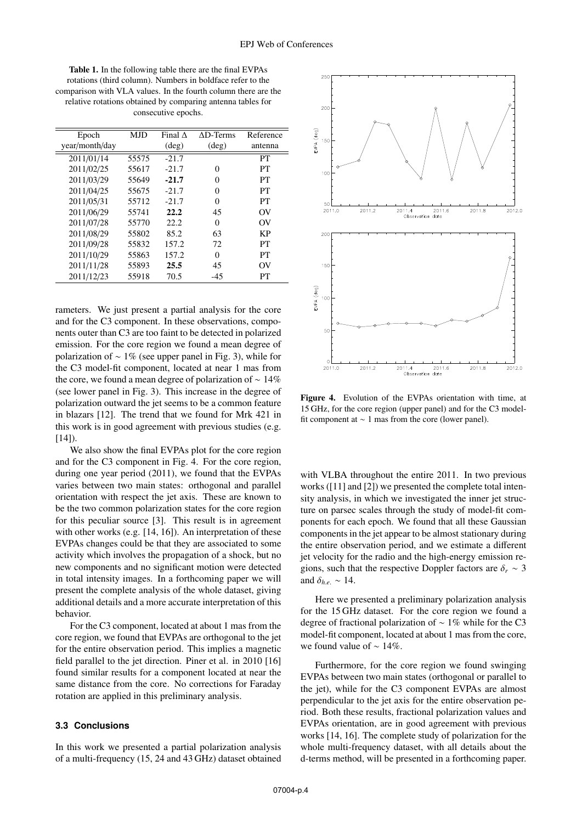Table 1. In the following table there are the final EVPAs rotations (third column). Numbers in boldface refer to the comparison with VLA values. In the fourth column there are the relative rotations obtained by comparing antenna tables for consecutive epochs.

| Epoch          | <b>MJD</b> | Final $\Lambda$ | $AD-Terms$     | Reference |
|----------------|------------|-----------------|----------------|-----------|
| year/month/day |            | $(\text{deg})$  | $(\text{deg})$ | antenna   |
| 2011/01/14     | 55575      | $-21.7$         |                | PT        |
| 2011/02/25     | 55617      | $-21.7$         | 0              | PТ        |
| 2011/03/29     | 55649      | $-21.7$         | 0              | PТ        |
| 2011/04/25     | 55675      | $-21.7$         | $\Omega$       | PT        |
| 2011/05/31     | 55712      | $-21.7$         | $\Omega$       | PT        |
| 2011/06/29     | 55741      | 22.2            | 45             | OV        |
| 2011/07/28     | 55770      | 22.2            | $\Omega$       | OV        |
| 2011/08/29     | 55802      | 85.2            | 63             | KP        |
| 2011/09/28     | 55832      | 157.2           | 72             | PT        |
| 2011/10/29     | 55863      | 157.2           | 0              | PТ        |
| 2011/11/28     | 55893      | 25.5            | 45             | OV        |
| 2011/12/23     | 55918      | 70.5            | -45            | PT        |

rameters. We just present a partial analysis for the core and for the C3 component. In these observations, components outer than C3 are too faint to be detected in polarized emission. For the core region we found a mean degree of polarization of  $\sim 1\%$  (see upper panel in Fig. 3), while for the C3 model-fit component, located at near 1 mas from the core, we found a mean degree of polarization of ∼ 14% (see lower panel in Fig. 3). This increase in the degree of polarization outward the jet seems to be a common feature in blazars [12]. The trend that we found for Mrk 421 in this work is in good agreement with previous studies (e.g.  $[14]$ ).

We also show the final EVPAs plot for the core region and for the C3 component in Fig. 4. For the core region, during one year period (2011), we found that the EVPAs varies between two main states: orthogonal and parallel orientation with respect the jet axis. These are known to be the two common polarization states for the core region for this peculiar source [3]. This result is in agreement with other works (e.g. [14, 16]). An interpretation of these EVPAs changes could be that they are associated to some activity which involves the propagation of a shock, but no new components and no significant motion were detected in total intensity images. In a forthcoming paper we will present the complete analysis of the whole dataset, giving additional details and a more accurate interpretation of this behavior.

For the C3 component, located at about 1 mas from the core region, we found that EVPAs are orthogonal to the jet for the entire observation period. This implies a magnetic field parallel to the jet direction. Piner et al. in 2010 [16] found similar results for a component located at near the same distance from the core. No corrections for Faraday rotation are applied in this preliminary analysis.

#### **3.3 Conclusions**

In this work we presented a partial polarization analysis of a multi-frequency (15, 24 and 43 GHz) dataset obtained



Figure 4. Evolution of the EVPAs orientation with time, at 15 GHz, for the core region (upper panel) and for the C3 modelfit component at ∼ 1 mas from the core (lower panel).

with VLBA throughout the entire 2011. In two previous works ([11] and [2]) we presented the complete total intensity analysis, in which we investigated the inner jet structure on parsec scales through the study of model-fit components for each epoch. We found that all these Gaussian components in the jet appear to be almost stationary during the entire observation period, and we estimate a different jet velocity for the radio and the high-energy emission regions, such that the respective Doppler factors are  $\delta_r \sim 3$ and  $\delta_{h.e.} \sim 14$ .

Here we presented a preliminary polarization analysis for the 15 GHz dataset. For the core region we found a degree of fractional polarization of ∼ 1% while for the C3 model-fit component, located at about 1 mas from the core, we found value of ∼ 14%.

Furthermore, for the core region we found swinging EVPAs between two main states (orthogonal or parallel to the jet), while for the C3 component EVPAs are almost perpendicular to the jet axis for the entire observation period. Both these results, fractional polarization values and EVPAs orientation, are in good agreement with previous works [14, 16]. The complete study of polarization for the whole multi-frequency dataset, with all details about the d-terms method, will be presented in a forthcoming paper.